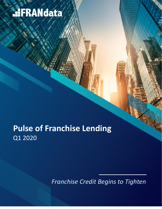# **HFRANdata**

## **Pulse of Franchise Lending**  Q1 2020

*Franchise Credit Begins to Tighten*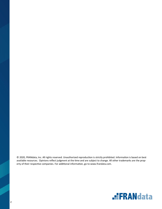© 2020, FRANdata, Inc. All rights reserved. Unauthorized reproduction is strictly prohibited. Information is based on best available resources. Opinions reflect judgment at the time and are subject to change. All other trademarks are the property of their respective companies. For additional information, go to www.frandata.com.

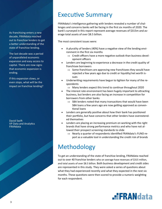As franchising enters a new decade, FRANdata reached out to franchise lenders to get a better understanding of the state of franchise lending.

The last decade was a period of unparalleled economic expansion and easy access to capital. There are now signs that economic expansion is ending.

If this expansion slows, or even stops, what will be the impact on franchise lending?

David Swift VP Data and Analytics FRANdata

#### Executive Summary

FRANdata's intelligence gathering with lenders revealed a number of challenges and concerns banks will be facing in the first six months of 2020. The bank's surveyed in this report represent average revenues of \$315m and average total assets of over \$8.5 billion.

The most consistent issues were:

- A plurality of lenders (40%) have a negative view of the lending environment in the first six months
	- $\Rightarrow$  Credit officers have a more negative outlook than business development officers
- Lenders are beginning to experience a decrease in the credit quality of franchisee borrowers
	- $\Rightarrow$  Some franchisors are approving new franchisees they would have rejected a few years ago due to credit or liquidity/net worth issues
- Underwriting requirements have begun to tighten for many of the respondents
	- $\Rightarrow$  Many lenders expect this trend to continue throughout 2020
- The interest rate environment has been hugely important to attracting business, but lenders are also facing an increase in competition for borrowers from other banks
	- $\Rightarrow$  SBA lenders noted that many transactions that would have been SBA loans a few years ago are now getting approved as conventional loans
- Lenders are generally positive about how their bank has positioned their portfolio, but have concerns that other lenders have overextended themselves
- Lenders are placing an increasing premium on working with the right brands that have strong performance metrics and who have not allowed their prospect screening standards to slide
	- $\Rightarrow$  Nearly a quarter of respondents identified FRANdata's FUND report as a valuable tool in understanding the credit risk of brands

### Methodology

To get an understanding of the state of franchise lending, FRANdata reached out to over 40 franchise lenders who on average have revenues of \$315 million, and total assets of over \$8.5 billion. Both business development and credit sides are represented in this study. They were asked a series of questions about what they had experienced recently and what they expected in the next six months. These questions were then scored to provide a numeric weighting for each respondent.

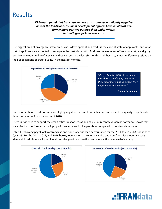### **Results**

*FRANdata found that franchise lenders as a group have a slightly negative view of the landscape. Business development officers have an almost uniformly more positive outlook than underwriters, but both groups have concerns.* 

The biggest area of divergence between business development and credit is the current state of applicants, and what sort of applicants are expected to emerge in the next six months. Business development officers, as a set, are slightly positive on credit quality of applicants they've seen in the last six months, and they are, almost uniformly, positive on their expectations of credit quality in the next six months.



*"It is feeling like 2007 all over again. Franchisors are digging deeper into their pipeline, signing up people they might not have otherwise."*

*- Lender Respondent*

On the other hand, credit officers are slightly negative on recent credit history, and expect the quality of applicants to deteriorate in the first six months of 2020.

There is evidence to support the credit officer responses, as an analysis of recent SBA loan performance shows that franchise loan performance is slipping with an increase in charge-offs as compared to non-franchise loans.

Table 1 (following page) looks at franchise and non-franchise loan performance for the 2011 to 2015 SBA books as of Q3 2019. For the 2011, 2012, and 2013 books, loan performance for franchise and non-franchisee loans is nearly identical. In addition, each year has a lower charge-off rate than the year before at the same level of maturity.





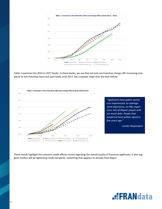

Table 2 examines the 2014 to 2017 books. In these books, we see that not only are franchise charge-offs increasing compared to non-franchise loans but each book, until 2017, has a steeper slope than the year before.



These trends highlight the concerns credit officers raised regarding the overall quality of franchise applicants. It also suggests lenders will be tightening credit standards, something that appears to already have begun.

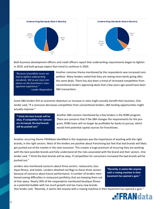



Both business development officers and credit officers report that underwriting requirements began to tighten in 2019, and both groups expect that trend to continue in 2020.

*"Because of portfolio issues we had to tighten underwriting standards. We've put more emphasis on the franchisee's management experience." - Lender Respondent* Another common theme mentioned by the respondents was increased competition. Many lenders noted that they are seeing more banks going after the same deals. There has also been a trend of increased competition from conventional lenders approving deals that a few years ago would have been SBA transactions.

Some SBA lenders felt an economic downturn or increase in rates might actually benefit their business. One lender said, "If a recession decreases competition from conventional lenders, SBA lending opportunities might actually improve."

**"I think the best brands will be okay. If competition for consumers increased, the bad brands will be pushed out."**

Another SBA concern mentioned by a few lenders is the ROBS program. There are concerns that if the SBA changes the requirements for the program, ROBS loans will no longer be profitable for banks to pursue, which would limit potential capital sources for franchisees.

Another recurring theme FRANdata identified in the responses was the importance of working with the right brands, in the right sectors. Most of the lenders are positive about franchising but feel that bad brands will likely get pushed out of the market in the next recession. This creates a huge premium of ensuring they are working with the best possible brands and fully understand all the risks associated with the brand and their sectors. One lender said, "I think the best brands will be okay. If competition for consumers increased the bad brands will be pushed out."

Lenders also mentioned concerns about three sectors: restaurants, boutique fitness, and hotels. Lenders attached red flags to these three sectors because of concerns about future performance. A number of lenders mentioned seeing difficulties in restaurant portfolios that are keeping them out of that space. Nearly 30% of the respondents mentioned boutique fitness as a potential bubble with too much growth and too many new brands.

**"Recently, it seems like anyone with a rowing machine in their basement has opened a gym."**

One lender said, "Recently, it seems like anyone with a rowing machine in their basement has opened a gym."

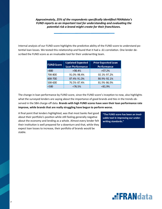#### *Approximately, 25% of the respondents specifically identified FRANdata's FUND reports as an important tool for understanding and evaluating the potential risk a brand might create for their franchisees.*

Internal analysis of our FUND score highlights the predictive ability of the FUND score to understand potential loan losses. We tested this relationship and found that it had a .61 correlation. One lender described the FUND score as an invaluable tool for their underwriting team.

| <b>FUND Score</b> | <b>Updated Expected</b><br><b>Loan Performance</b> | <b>Prior Expected Loan</b><br><b>Performance</b> |
|-------------------|----------------------------------------------------|--------------------------------------------------|
| >800              | >98.4%                                             | $>97.2\%$                                        |
| 700-800           | 91.0%-98.4%                                        | 92.1%-97.2%                                      |
| 600-700           | 87.4%-91.0%                                        | 86.9%-92.1%                                      |
| 500-600           | 76.5%-87.4%                                        | 81.9%-86.9%                                      |
| <500              | <76.5%                                             | $< 81.9\%$                                       |

The change in loan performance by FUND score, since the FUND score's inception to now, also highlights what the surveyed lenders are saying about the importance of good brands and ties in the trends observed in the SBA charge-off data. **Brands with high FUND scores have seen their loan performance rate improve, while brands that are really struggling have begun to perform worse.** 

A final point that lenders highlighted, was that most banks feel good about their portfolio's position while still feeling generally negative about the economy and lending as a whole. Almost every lender felt their institution is well prepared for a downturn and that, while they expect loan losses to increase, their portfolio of brands would be stable.

**"The FUND score has been an invaluable tool in improving our underwriting standards."**